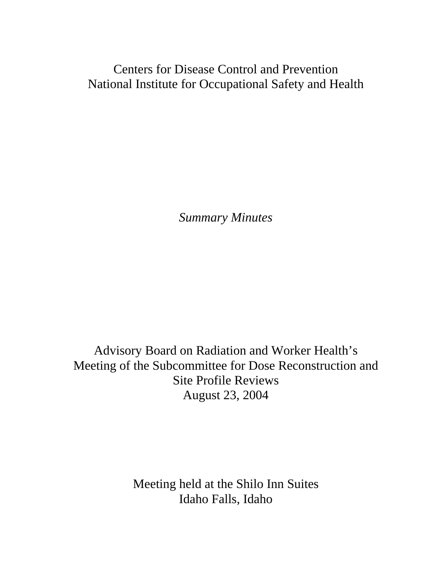Centers for Disease Control and Prevention National Institute for Occupational Safety and Health

*Summary Minutes* 

Advisory Board on Radiation and Worker Health's Meeting of the Subcommittee for Dose Reconstruction and Site Profile Reviews August 23, 2004

> Meeting held at the Shilo Inn Suites Idaho Falls, Idaho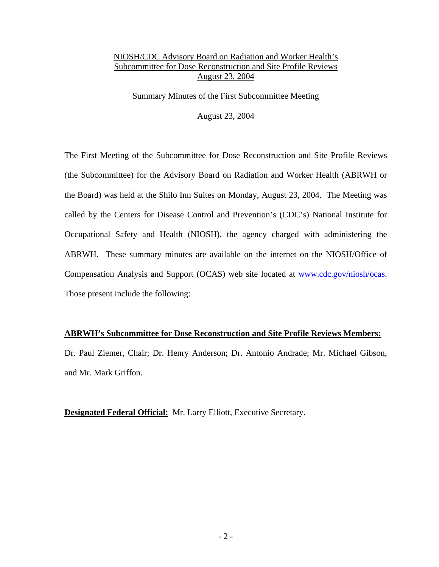Summary Minutes of the First Subcommittee Meeting

August 23, 2004

The First Meeting of the Subcommittee for Dose Reconstruction and Site Profile Reviews (the Subcommittee) for the Advisory Board on Radiation and Worker Health (ABRWH or the Board) was held at the Shilo Inn Suites on Monday, August 23, 2004. The Meeting was called by the Centers for Disease Control and Prevention's (CDC's) National Institute for Occupational Safety and Health (NIOSH), the agency charged with administering the ABRWH. These summary minutes are available on the internet on the NIOSH/Office of Compensation Analysis and Support (OCAS) web site located at [www.cdc.gov/niosh/ocas.](http://www.cdc.gov/niosh/ocas) Those present include the following:

#### **ABRWH's Subcommittee for Dose Reconstruction and Site Profile Reviews Members:**

Dr. Paul Ziemer, Chair; Dr. Henry Anderson; Dr. Antonio Andrade; Mr. Michael Gibson, and Mr. Mark Griffon.

**Designated Federal Official:** Mr. Larry Elliott, Executive Secretary.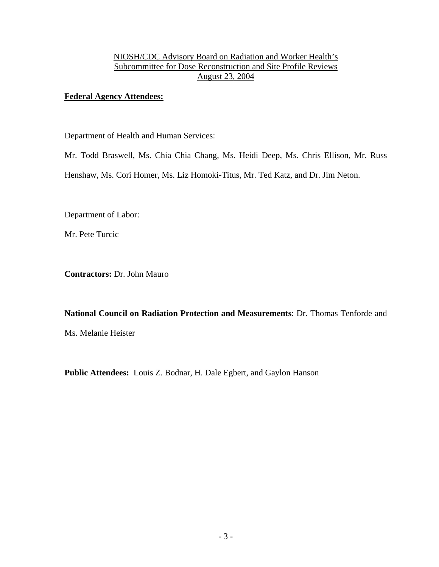# **Federal Agency Attendees:**

Department of Health and Human Services:

Mr. Todd Braswell, Ms. Chia Chia Chang, Ms. Heidi Deep, Ms. Chris Ellison, Mr. Russ

Henshaw, Ms. Cori Homer, Ms. Liz Homoki-Titus, Mr. Ted Katz, and Dr. Jim Neton.

Department of Labor:

Mr. Pete Turcic

**Contractors:** Dr. John Mauro

**National Council on Radiation Protection and Measurements**: Dr. Thomas Tenforde and Ms. Melanie Heister

**Public Attendees:** Louis Z. Bodnar, H. Dale Egbert, and Gaylon Hanson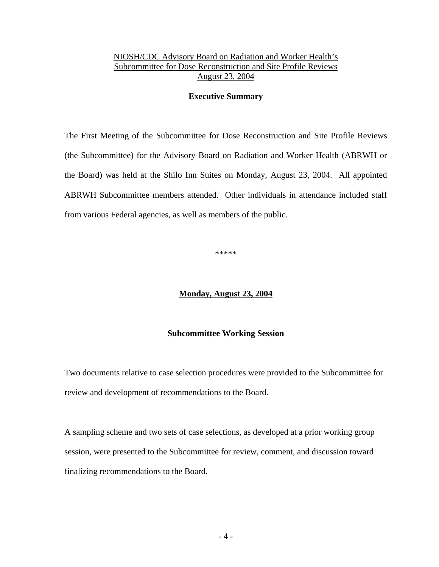#### **Executive Summary**

The First Meeting of the Subcommittee for Dose Reconstruction and Site Profile Reviews (the Subcommittee) for the Advisory Board on Radiation and Worker Health (ABRWH or the Board) was held at the Shilo Inn Suites on Monday, August 23, 2004. All appointed ABRWH Subcommittee members attended. Other individuals in attendance included staff from various Federal agencies, as well as members of the public.

\*\*\*\*\*

#### **Monday, August 23, 2004**

#### **Subcommittee Working Session**

Two documents relative to case selection procedures were provided to the Subcommittee for review and development of recommendations to the Board.

A sampling scheme and two sets of case selections, as developed at a prior working group session, were presented to the Subcommittee for review, comment, and discussion toward finalizing recommendations to the Board.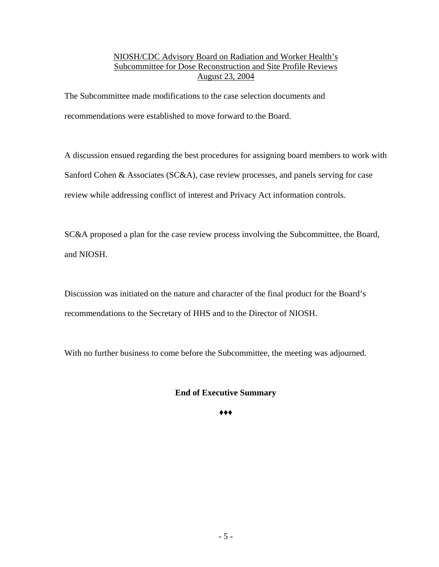The Subcommittee made modifications to the case selection documents and recommendations were established to move forward to the Board.

A discussion ensued regarding the best procedures for assigning board members to work with Sanford Cohen & Associates (SC&A), case review processes, and panels serving for case review while addressing conflict of interest and Privacy Act information controls.

SC&A proposed a plan for the case review process involving the Subcommittee, the Board, and NIOSH.

Discussion was initiated on the nature and character of the final product for the Board's recommendations to the Secretary of HHS and to the Director of NIOSH.

With no further business to come before the Subcommittee, the meeting was adjourned.

# **End of Executive Summary**

**♦♦♦**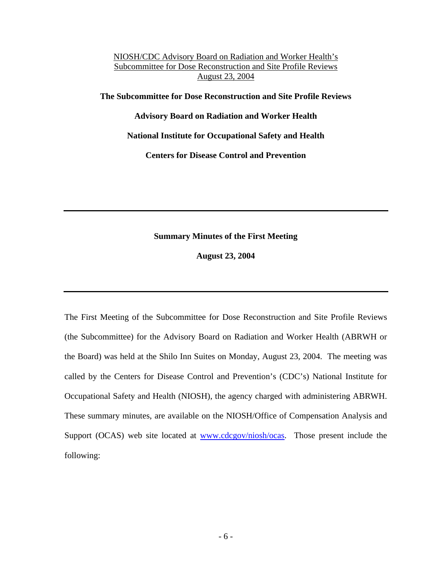**The Subcommittee for Dose Reconstruction and Site Profile Reviews** 

**Advisory Board on Radiation and Worker Health** 

**National Institute for Occupational Safety and Health** 

**Centers for Disease Control and Prevention** 

## **Summary Minutes of the First Meeting**

**August 23, 2004** 

The First Meeting of the Subcommittee for Dose Reconstruction and Site Profile Reviews (the Subcommittee) for the Advisory Board on Radiation and Worker Health (ABRWH or the Board) was held at the Shilo Inn Suites on Monday, August 23, 2004. The meeting was called by the Centers for Disease Control and Prevention's (CDC's) National Institute for Occupational Safety and Health (NIOSH), the agency charged with administering ABRWH. These summary minutes, are available on the NIOSH/Office of Compensation Analysis and Support (OCAS) web site located at **www.cdcgov/niosh/ocas**. Those present include the following: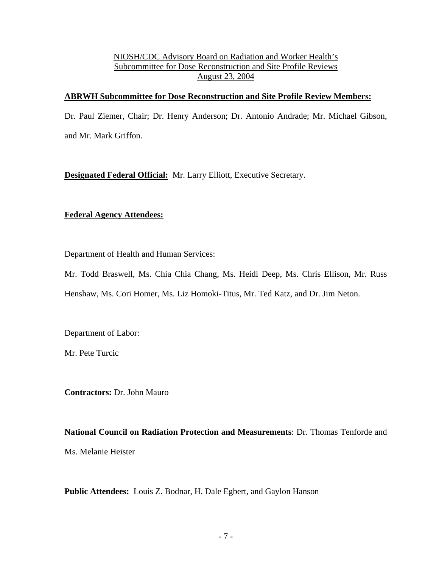#### **ABRWH Subcommittee for Dose Reconstruction and Site Profile Review Members:**

Dr. Paul Ziemer, Chair; Dr. Henry Anderson; Dr. Antonio Andrade; Mr. Michael Gibson, and Mr. Mark Griffon.

**Designated Federal Official:** Mr. Larry Elliott, Executive Secretary.

## **Federal Agency Attendees:**

Department of Health and Human Services:

Mr. Todd Braswell, Ms. Chia Chia Chang, Ms. Heidi Deep, Ms. Chris Ellison, Mr. Russ Henshaw, Ms. Cori Homer, Ms. Liz Homoki-Titus, Mr. Ted Katz, and Dr. Jim Neton.

Department of Labor:

Mr. Pete Turcic

**Contractors:** Dr. John Mauro

**National Council on Radiation Protection and Measurements**: Dr. Thomas Tenforde and Ms. Melanie Heister

**Public Attendees:** Louis Z. Bodnar, H. Dale Egbert, and Gaylon Hanson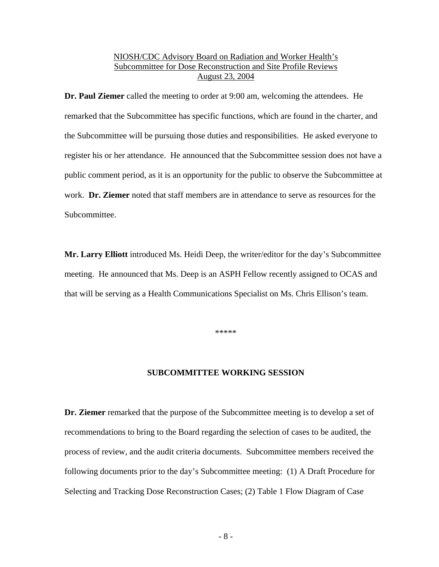**Dr. Paul Ziemer** called the meeting to order at 9:00 am, welcoming the attendees. He remarked that the Subcommittee has specific functions, which are found in the charter, and the Subcommittee will be pursuing those duties and responsibilities. He asked everyone to register his or her attendance. He announced that the Subcommittee session does not have a public comment period, as it is an opportunity for the public to observe the Subcommittee at work. **Dr. Ziemer** noted that staff members are in attendance to serve as resources for the Subcommittee.

**Mr. Larry Elliott** introduced Ms. Heidi Deep, the writer/editor for the day's Subcommittee meeting. He announced that Ms. Deep is an ASPH Fellow recently assigned to OCAS and that will be serving as a Health Communications Specialist on Ms. Chris Ellison's team.

\*\*\*\*\*

#### **SUBCOMMITTEE WORKING SESSION**

**Dr. Ziemer** remarked that the purpose of the Subcommittee meeting is to develop a set of recommendations to bring to the Board regarding the selection of cases to be audited, the process of review, and the audit criteria documents. Subcommittee members received the following documents prior to the day's Subcommittee meeting: (1) A Draft Procedure for Selecting and Tracking Dose Reconstruction Cases; (2) Table 1 Flow Diagram of Case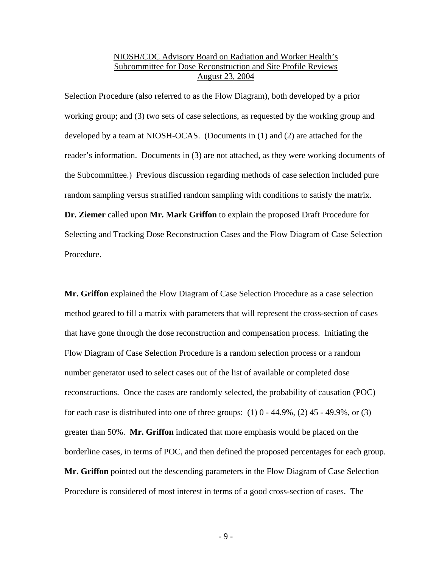Selection Procedure (also referred to as the Flow Diagram), both developed by a prior working group; and (3) two sets of case selections, as requested by the working group and developed by a team at NIOSH-OCAS. (Documents in (1) and (2) are attached for the reader's information. Documents in (3) are not attached, as they were working documents of the Subcommittee.) Previous discussion regarding methods of case selection included pure random sampling versus stratified random sampling with conditions to satisfy the matrix. **Dr. Ziemer** called upon **Mr. Mark Griffon** to explain the proposed Draft Procedure for Selecting and Tracking Dose Reconstruction Cases and the Flow Diagram of Case Selection Procedure.

**Mr. Griffon** explained the Flow Diagram of Case Selection Procedure as a case selection method geared to fill a matrix with parameters that will represent the cross-section of cases that have gone through the dose reconstruction and compensation process. Initiating the Flow Diagram of Case Selection Procedure is a random selection process or a random number generator used to select cases out of the list of available or completed dose reconstructions. Once the cases are randomly selected, the probability of causation (POC) for each case is distributed into one of three groups:  $(1)$  0 - 44.9%,  $(2)$  45 - 49.9%, or  $(3)$ greater than 50%. **Mr. Griffon** indicated that more emphasis would be placed on the borderline cases, in terms of POC, and then defined the proposed percentages for each group. **Mr. Griffon** pointed out the descending parameters in the Flow Diagram of Case Selection Procedure is considered of most interest in terms of a good cross-section of cases. The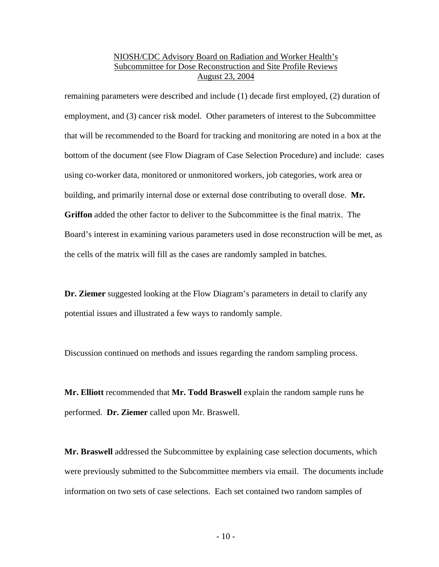remaining parameters were described and include (1) decade first employed, (2) duration of employment, and (3) cancer risk model. Other parameters of interest to the Subcommittee that will be recommended to the Board for tracking and monitoring are noted in a box at the bottom of the document (see Flow Diagram of Case Selection Procedure) and include: cases using co-worker data, monitored or unmonitored workers, job categories, work area or building, and primarily internal dose or external dose contributing to overall dose. **Mr. Griffon** added the other factor to deliver to the Subcommittee is the final matrix. The Board's interest in examining various parameters used in dose reconstruction will be met, as the cells of the matrix will fill as the cases are randomly sampled in batches.

**Dr. Ziemer** suggested looking at the Flow Diagram's parameters in detail to clarify any potential issues and illustrated a few ways to randomly sample.

Discussion continued on methods and issues regarding the random sampling process.

**Mr. Elliott** recommended that **Mr. Todd Braswell** explain the random sample runs he performed. **Dr. Ziemer** called upon Mr. Braswell.

**Mr. Braswell** addressed the Subcommittee by explaining case selection documents, which were previously submitted to the Subcommittee members via email. The documents include information on two sets of case selections. Each set contained two random samples of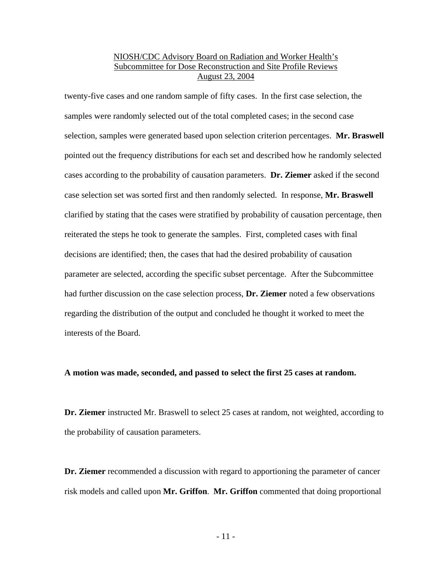twenty-five cases and one random sample of fifty cases. In the first case selection, the samples were randomly selected out of the total completed cases; in the second case selection, samples were generated based upon selection criterion percentages. **Mr. Braswell** pointed out the frequency distributions for each set and described how he randomly selected cases according to the probability of causation parameters. **Dr. Ziemer** asked if the second case selection set was sorted first and then randomly selected. In response, **Mr. Braswell** clarified by stating that the cases were stratified by probability of causation percentage, then reiterated the steps he took to generate the samples. First, completed cases with final decisions are identified; then, the cases that had the desired probability of causation parameter are selected, according the specific subset percentage. After the Subcommittee had further discussion on the case selection process, **Dr. Ziemer** noted a few observations regarding the distribution of the output and concluded he thought it worked to meet the interests of the Board.

#### **A motion was made, seconded, and passed to select the first 25 cases at random.**

**Dr. Ziemer** instructed Mr. Braswell to select 25 cases at random, not weighted, according to the probability of causation parameters.

**Dr. Ziemer** recommended a discussion with regard to apportioning the parameter of cancer risk models and called upon **Mr. Griffon**. **Mr. Griffon** commented that doing proportional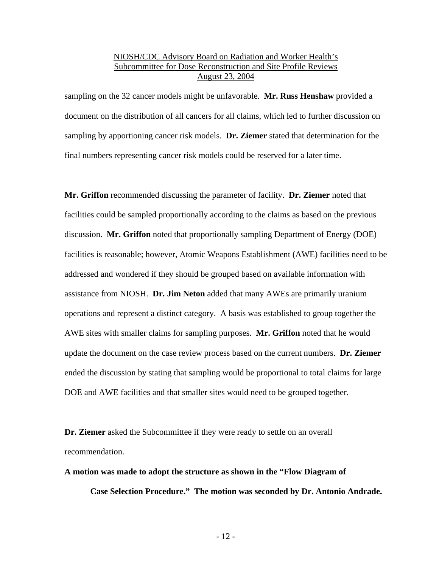sampling on the 32 cancer models might be unfavorable. **Mr. Russ Henshaw** provided a document on the distribution of all cancers for all claims, which led to further discussion on sampling by apportioning cancer risk models. **Dr. Ziemer** stated that determination for the final numbers representing cancer risk models could be reserved for a later time.

**Mr. Griffon** recommended discussing the parameter of facility. **Dr. Ziemer** noted that facilities could be sampled proportionally according to the claims as based on the previous discussion. **Mr. Griffon** noted that proportionally sampling Department of Energy (DOE) facilities is reasonable; however, Atomic Weapons Establishment (AWE) facilities need to be addressed and wondered if they should be grouped based on available information with assistance from NIOSH. **Dr. Jim Neton** added that many AWEs are primarily uranium operations and represent a distinct category. A basis was established to group together the AWE sites with smaller claims for sampling purposes. **Mr. Griffon** noted that he would update the document on the case review process based on the current numbers. **Dr. Ziemer** ended the discussion by stating that sampling would be proportional to total claims for large DOE and AWE facilities and that smaller sites would need to be grouped together.

**Dr. Ziemer** asked the Subcommittee if they were ready to settle on an overall recommendation.

**A motion was made to adopt the structure as shown in the "Flow Diagram of** 

**Case Selection Procedure." The motion was seconded by Dr. Antonio Andrade.**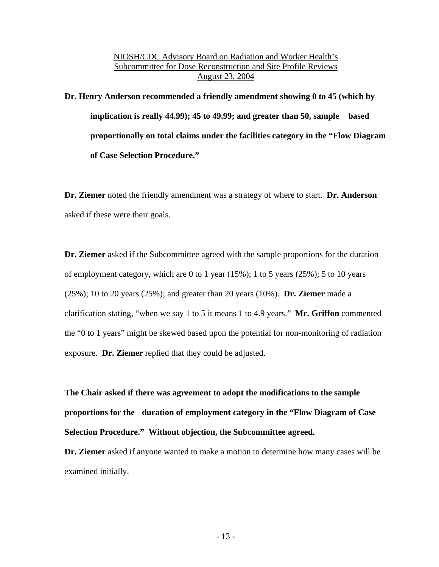**Dr. Henry Anderson recommended a friendly amendment showing 0 to 45 (which by implication is really 44.99); 45 to 49.99; and greater than 50, sample based proportionally on total claims under the facilities category in the "Flow Diagram of Case Selection Procedure."** 

**Dr. Ziemer** noted the friendly amendment was a strategy of where to start. **Dr. Anderson** asked if these were their goals.

**Dr. Ziemer** asked if the Subcommittee agreed with the sample proportions for the duration of employment category, which are 0 to 1 year  $(15\%)$ ; 1 to 5 years  $(25\%)$ ; 5 to 10 years (25%); 10 to 20 years (25%); and greater than 20 years (10%). **Dr. Ziemer** made a clarification stating, "when we say 1 to 5 it means 1 to 4.9 years." **Mr. Griffon** commented the "0 to 1 years" might be skewed based upon the potential for non-monitoring of radiation exposure. **Dr. Ziemer** replied that they could be adjusted.

**The Chair asked if there was agreement to adopt the modifications to the sample proportions for the duration of employment category in the "Flow Diagram of Case Selection Procedure." Without objection, the Subcommittee agreed.** 

**Dr. Ziemer** asked if anyone wanted to make a motion to determine how many cases will be examined initially.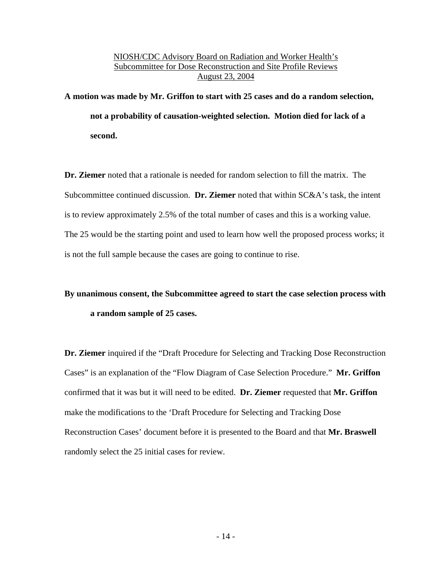**A motion was made by Mr. Griffon to start with 25 cases and do a random selection, not a probability of causation-weighted selection. Motion died for lack of a second.** 

**Dr. Ziemer** noted that a rationale is needed for random selection to fill the matrix. The Subcommittee continued discussion. **Dr. Ziemer** noted that within SC&A's task, the intent is to review approximately 2.5% of the total number of cases and this is a working value. The 25 would be the starting point and used to learn how well the proposed process works; it is not the full sample because the cases are going to continue to rise.

# **By unanimous consent, the Subcommittee agreed to start the case selection process with a random sample of 25 cases.**

**Dr. Ziemer** inquired if the "Draft Procedure for Selecting and Tracking Dose Reconstruction Cases" is an explanation of the "Flow Diagram of Case Selection Procedure." **Mr. Griffon** confirmed that it was but it will need to be edited. **Dr. Ziemer** requested that **Mr. Griffon**  make the modifications to the 'Draft Procedure for Selecting and Tracking Dose Reconstruction Cases' document before it is presented to the Board and that **Mr. Braswell** randomly select the 25 initial cases for review.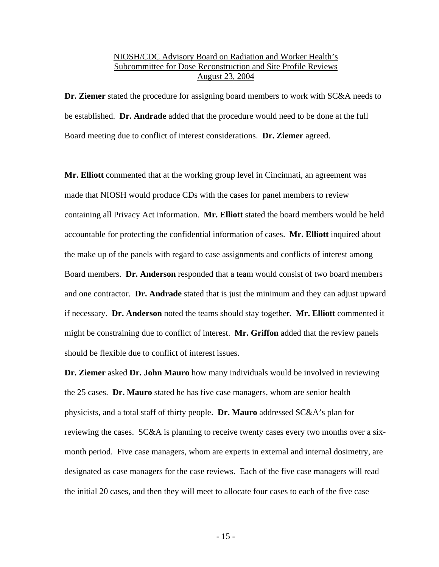**Dr. Ziemer** stated the procedure for assigning board members to work with SC&A needs to be established. **Dr. Andrade** added that the procedure would need to be done at the full Board meeting due to conflict of interest considerations. **Dr. Ziemer** agreed.

**Mr. Elliott** commented that at the working group level in Cincinnati, an agreement was made that NIOSH would produce CDs with the cases for panel members to review containing all Privacy Act information. **Mr. Elliott** stated the board members would be held accountable for protecting the confidential information of cases. **Mr. Elliott** inquired about the make up of the panels with regard to case assignments and conflicts of interest among Board members. **Dr. Anderson** responded that a team would consist of two board members and one contractor. **Dr. Andrade** stated that is just the minimum and they can adjust upward if necessary. **Dr. Anderson** noted the teams should stay together. **Mr. Elliott** commented it might be constraining due to conflict of interest. **Mr. Griffon** added that the review panels should be flexible due to conflict of interest issues.

**Dr. Ziemer** asked **Dr. John Mauro** how many individuals would be involved in reviewing the 25 cases. **Dr. Mauro** stated he has five case managers, whom are senior health physicists, and a total staff of thirty people. **Dr. Mauro** addressed SC&A's plan for reviewing the cases. SC&A is planning to receive twenty cases every two months over a sixmonth period. Five case managers, whom are experts in external and internal dosimetry, are designated as case managers for the case reviews. Each of the five case managers will read the initial 20 cases, and then they will meet to allocate four cases to each of the five case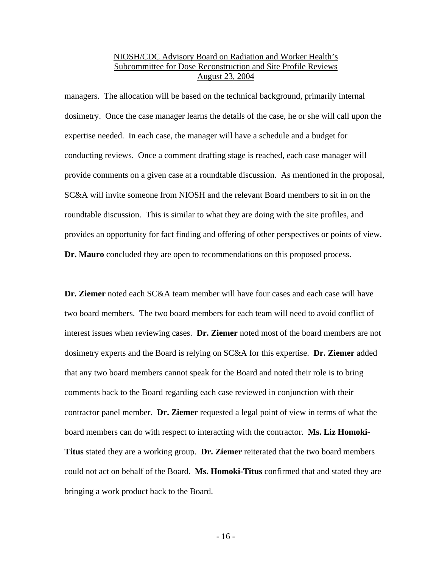managers. The allocation will be based on the technical background, primarily internal dosimetry. Once the case manager learns the details of the case, he or she will call upon the expertise needed. In each case, the manager will have a schedule and a budget for conducting reviews. Once a comment drafting stage is reached, each case manager will provide comments on a given case at a roundtable discussion. As mentioned in the proposal, SC&A will invite someone from NIOSH and the relevant Board members to sit in on the roundtable discussion. This is similar to what they are doing with the site profiles, and provides an opportunity for fact finding and offering of other perspectives or points of view. **Dr. Mauro** concluded they are open to recommendations on this proposed process.

**Dr. Ziemer** noted each SC&A team member will have four cases and each case will have two board members. The two board members for each team will need to avoid conflict of interest issues when reviewing cases. **Dr. Ziemer** noted most of the board members are not dosimetry experts and the Board is relying on SC&A for this expertise. **Dr. Ziemer** added that any two board members cannot speak for the Board and noted their role is to bring comments back to the Board regarding each case reviewed in conjunction with their contractor panel member. **Dr. Ziemer** requested a legal point of view in terms of what the board members can do with respect to interacting with the contractor. **Ms. Liz Homoki-Titus** stated they are a working group. **Dr. Ziemer** reiterated that the two board members could not act on behalf of the Board. **Ms. Homoki-Titus** confirmed that and stated they are bringing a work product back to the Board.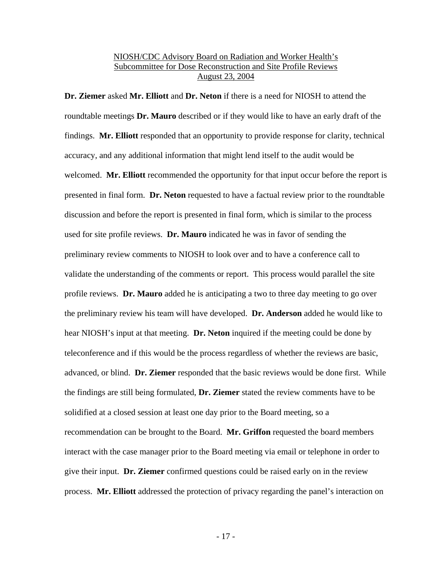**Dr. Ziemer** asked **Mr. Elliott** and **Dr. Neton** if there is a need for NIOSH to attend the roundtable meetings **Dr. Mauro** described or if they would like to have an early draft of the findings. **Mr. Elliott** responded that an opportunity to provide response for clarity, technical accuracy, and any additional information that might lend itself to the audit would be welcomed. **Mr. Elliott** recommended the opportunity for that input occur before the report is presented in final form. **Dr. Neton** requested to have a factual review prior to the roundtable discussion and before the report is presented in final form, which is similar to the process used for site profile reviews. **Dr. Mauro** indicated he was in favor of sending the preliminary review comments to NIOSH to look over and to have a conference call to validate the understanding of the comments or report. This process would parallel the site profile reviews. **Dr. Mauro** added he is anticipating a two to three day meeting to go over the preliminary review his team will have developed. **Dr. Anderson** added he would like to hear NIOSH's input at that meeting. **Dr. Neton** inquired if the meeting could be done by teleconference and if this would be the process regardless of whether the reviews are basic, advanced, or blind. **Dr. Ziemer** responded that the basic reviews would be done first. While the findings are still being formulated, **Dr. Ziemer** stated the review comments have to be solidified at a closed session at least one day prior to the Board meeting, so a recommendation can be brought to the Board. **Mr. Griffon** requested the board members interact with the case manager prior to the Board meeting via email or telephone in order to give their input. **Dr. Ziemer** confirmed questions could be raised early on in the review process. **Mr. Elliott** addressed the protection of privacy regarding the panel's interaction on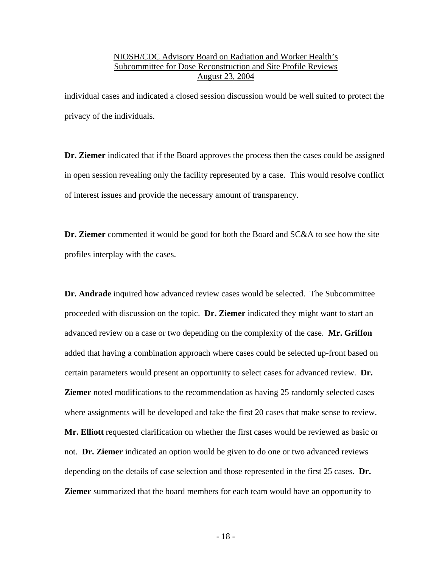individual cases and indicated a closed session discussion would be well suited to protect the privacy of the individuals.

**Dr. Ziemer** indicated that if the Board approves the process then the cases could be assigned in open session revealing only the facility represented by a case. This would resolve conflict of interest issues and provide the necessary amount of transparency.

**Dr. Ziemer** commented it would be good for both the Board and SC&A to see how the site profiles interplay with the cases.

**Dr. Andrade** inquired how advanced review cases would be selected. The Subcommittee proceeded with discussion on the topic. **Dr. Ziemer** indicated they might want to start an advanced review on a case or two depending on the complexity of the case. **Mr. Griffon** added that having a combination approach where cases could be selected up-front based on certain parameters would present an opportunity to select cases for advanced review. **Dr. Ziemer** noted modifications to the recommendation as having 25 randomly selected cases where assignments will be developed and take the first 20 cases that make sense to review. **Mr. Elliott** requested clarification on whether the first cases would be reviewed as basic or not. **Dr. Ziemer** indicated an option would be given to do one or two advanced reviews depending on the details of case selection and those represented in the first 25 cases. **Dr. Ziemer** summarized that the board members for each team would have an opportunity to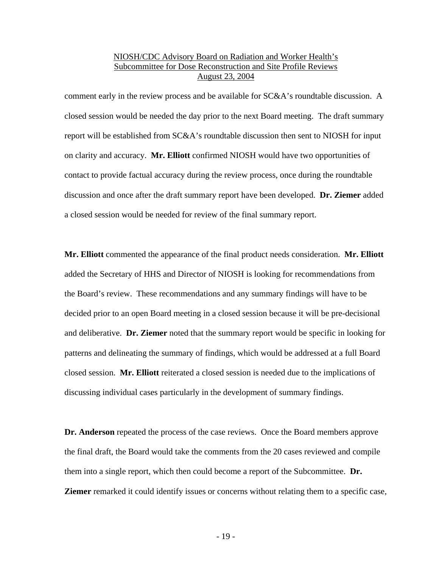comment early in the review process and be available for SC&A's roundtable discussion. A closed session would be needed the day prior to the next Board meeting. The draft summary report will be established from SC&A's roundtable discussion then sent to NIOSH for input on clarity and accuracy. **Mr. Elliott** confirmed NIOSH would have two opportunities of contact to provide factual accuracy during the review process, once during the roundtable discussion and once after the draft summary report have been developed. **Dr. Ziemer** added a closed session would be needed for review of the final summary report.

**Mr. Elliott** commented the appearance of the final product needs consideration. **Mr. Elliott** added the Secretary of HHS and Director of NIOSH is looking for recommendations from the Board's review. These recommendations and any summary findings will have to be decided prior to an open Board meeting in a closed session because it will be pre-decisional and deliberative. **Dr. Ziemer** noted that the summary report would be specific in looking for patterns and delineating the summary of findings, which would be addressed at a full Board closed session. **Mr. Elliott** reiterated a closed session is needed due to the implications of discussing individual cases particularly in the development of summary findings.

**Dr. Anderson** repeated the process of the case reviews. Once the Board members approve the final draft, the Board would take the comments from the 20 cases reviewed and compile them into a single report, which then could become a report of the Subcommittee. **Dr. Ziemer** remarked it could identify issues or concerns without relating them to a specific case,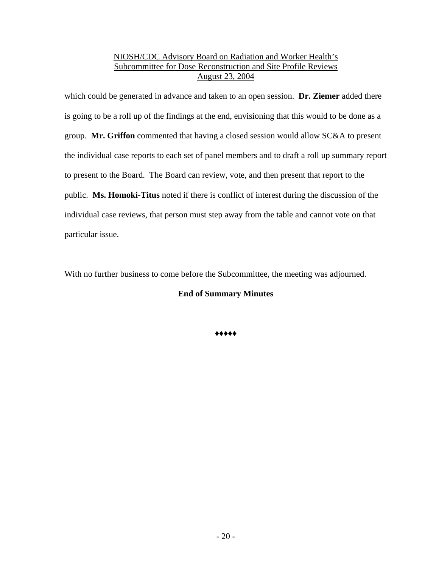which could be generated in advance and taken to an open session. **Dr. Ziemer** added there is going to be a roll up of the findings at the end, envisioning that this would to be done as a group. **Mr. Griffon** commented that having a closed session would allow SC&A to present the individual case reports to each set of panel members and to draft a roll up summary report to present to the Board. The Board can review, vote, and then present that report to the public. **Ms. Homoki-Titus** noted if there is conflict of interest during the discussion of the individual case reviews, that person must step away from the table and cannot vote on that particular issue.

With no further business to come before the Subcommittee, the meeting was adjourned.

# **End of Summary Minutes**

**♦♦♦♦♦**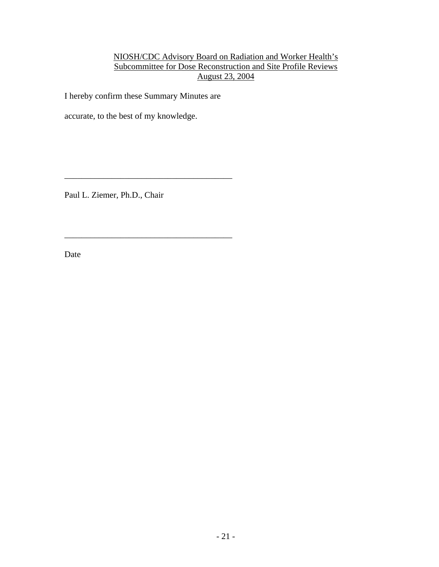I hereby confirm these Summary Minutes are

\_\_\_\_\_\_\_\_\_\_\_\_\_\_\_\_\_\_\_\_\_\_\_\_\_\_\_\_\_\_\_\_\_\_\_\_\_\_\_

accurate, to the best of my knowledge.

Paul L. Ziemer, Ph.D., Chair

Date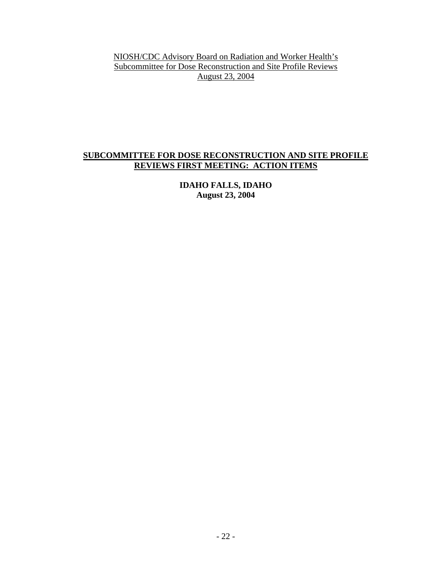# **SUBCOMMITTEE FOR DOSE RECONSTRUCTION AND SITE PROFILE REVIEWS FIRST MEETING: ACTION ITEMS**

**IDAHO FALLS, IDAHO August 23, 2004**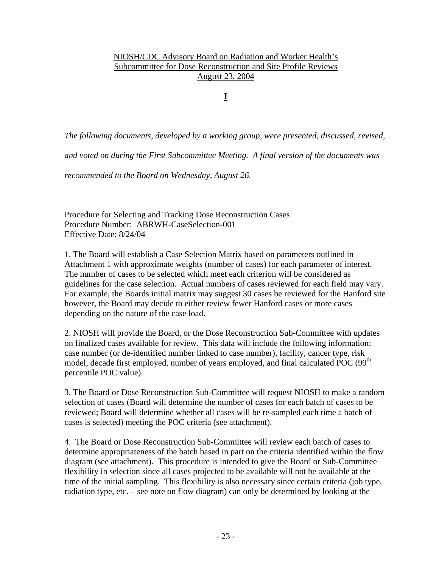**I**

*The following documents, developed by a working group, were presented, discussed, revised,* 

*and voted on during the First Subcommittee Meeting. A final version of the documents was* 

*recommended to the Board on Wednesday, August 26.* 

Procedure for Selecting and Tracking Dose Reconstruction Cases Procedure Number: ABRWH-CaseSelection-001 Effective Date: 8/24/04

1. The Board will establish a Case Selection Matrix based on parameters outlined in Attachment 1 with approximate weights (number of cases) for each parameter of interest. The number of cases to be selected which meet each criterion will be considered as guidelines for the case selection. Actual numbers of cases reviewed for each field may vary. For example, the Boards initial matrix may suggest 30 cases be reviewed for the Hanford site however, the Board may decide to either review fewer Hanford cases or more cases depending on the nature of the case load.

2. NIOSH will provide the Board, or the Dose Reconstruction Sub-Committee with updates on finalized cases available for review. This data will include the following information: case number (or de-identified number linked to case number), facility, cancer type, risk model, decade first employed, number of years employed, and final calculated POC (99<sup>th</sup>) percentile POC value).

3. The Board or Dose Reconstruction Sub-Committee will request NIOSH to make a random selection of cases (Board will determine the number of cases for each batch of cases to be reviewed; Board will determine whether all cases will be re-sampled each time a batch of cases is selected) meeting the POC criteria (see attachment).

4. The Board or Dose Reconstruction Sub-Committee will review each batch of cases to determine appropriateness of the batch based in part on the criteria identified within the flow diagram (see attachment). This procedure is intended to give the Board or Sub-Committee flexibility in selection since all cases projected to be available will not be available at the time of the initial sampling. This flexibility is also necessary since certain criteria (job type, radiation type, etc. – see note on flow diagram) can only be determined by looking at the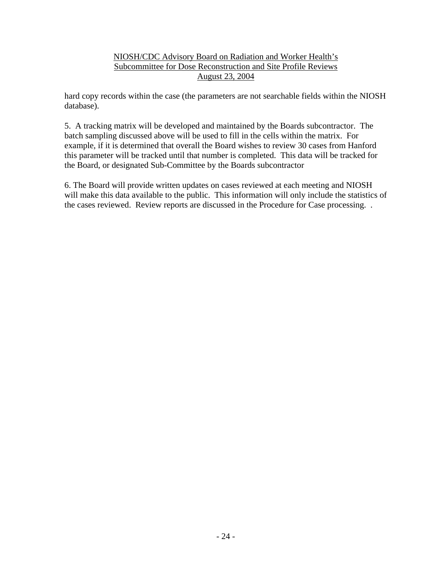hard copy records within the case (the parameters are not searchable fields within the NIOSH database).

5. A tracking matrix will be developed and maintained by the Boards subcontractor. The batch sampling discussed above will be used to fill in the cells within the matrix. For example, if it is determined that overall the Board wishes to review 30 cases from Hanford this parameter will be tracked until that number is completed. This data will be tracked for the Board, or designated Sub-Committee by the Boards subcontractor

6. The Board will provide written updates on cases reviewed at each meeting and NIOSH will make this data available to the public. This information will only include the statistics of the cases reviewed. Review reports are discussed in the Procedure for Case processing. .